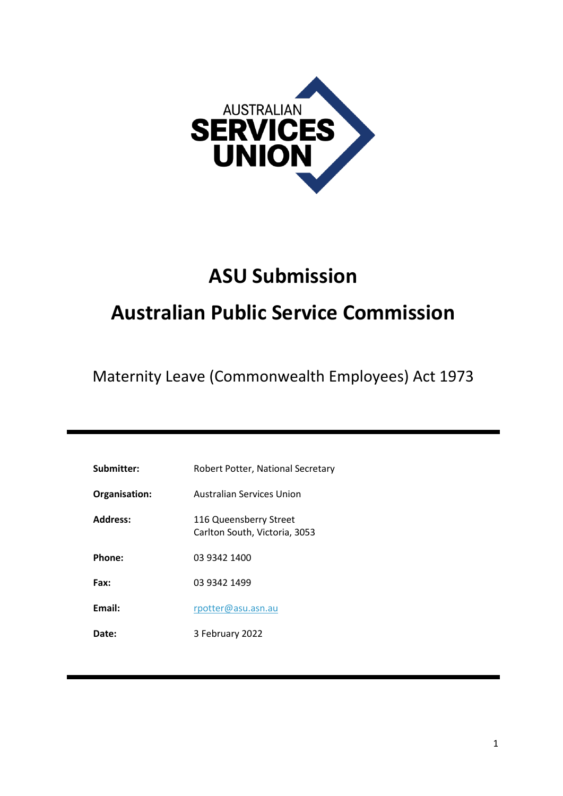

# **ASU Submission**

# **Australian Public Service Commission**

Maternity Leave (Commonwealth Employees) Act 1973

| Submitter:      | Robert Potter, National Secretary                       |
|-----------------|---------------------------------------------------------|
| Organisation:   | Australian Services Union                               |
| <b>Address:</b> | 116 Queensberry Street<br>Carlton South, Victoria, 3053 |
| Phone:          | 03 9342 1400                                            |
| Fax:            | 03 9342 1499                                            |
| Email:          | rpotter@asu.asn.au                                      |
| <b>Date:</b>    | 3 February 2022                                         |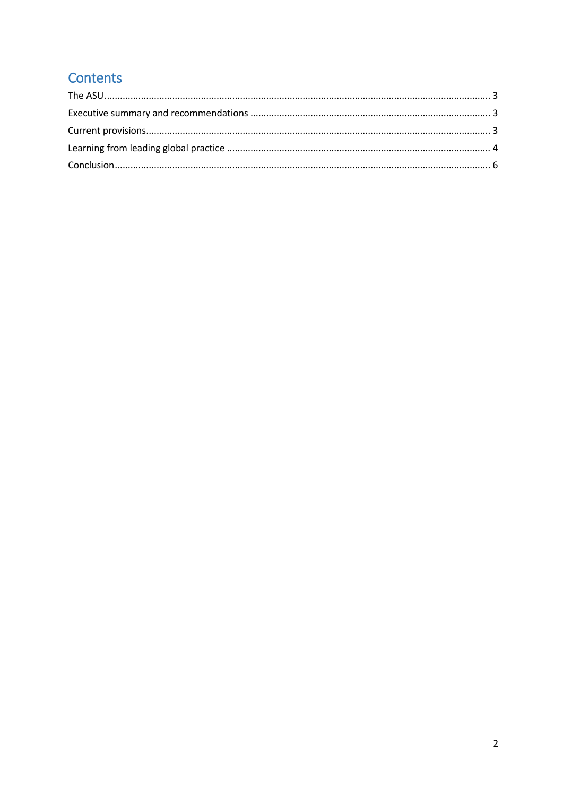# Contents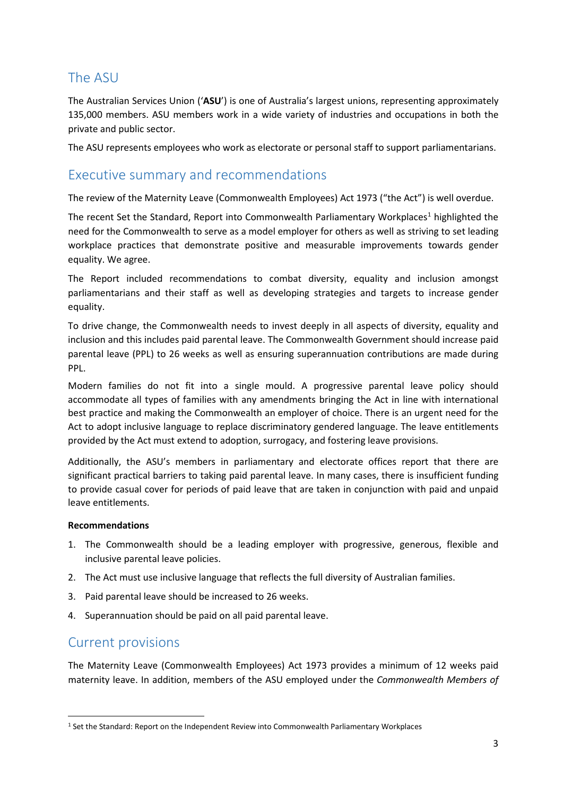## <span id="page-2-0"></span>The ASU

The Australian Services Union ('**ASU**') is one of Australia's largest unions, representing approximately 135,000 members. ASU members work in a wide variety of industries and occupations in both the private and public sector.

The ASU represents employees who work as electorate or personal staff to support parliamentarians.

### <span id="page-2-1"></span>Executive summary and recommendations

The review of the Maternity Leave (Commonwealth Employees) Act 1973 ("the Act") is well overdue.

The recent Set the Standard, Report into Commonwealth Parliamentary Workplaces<sup>[1](#page-2-3)</sup> highlighted the need for the Commonwealth to serve as a model employer for others as well as striving to set leading workplace practices that demonstrate positive and measurable improvements towards gender equality. We agree.

The Report included recommendations to combat diversity, equality and inclusion amongst parliamentarians and their staff as well as developing strategies and targets to increase gender equality.

To drive change, the Commonwealth needs to invest deeply in all aspects of diversity, equality and inclusion and this includes paid parental leave. The Commonwealth Government should increase paid parental leave (PPL) to 26 weeks as well as ensuring superannuation contributions are made during PPL.

Modern families do not fit into a single mould. A progressive parental leave policy should accommodate all types of families with any amendments bringing the Act in line with international best practice and making the Commonwealth an employer of choice. There is an urgent need for the Act to adopt inclusive language to replace discriminatory gendered language. The leave entitlements provided by the Act must extend to adoption, surrogacy, and fostering leave provisions.

Additionally, the ASU's members in parliamentary and electorate offices report that there are significant practical barriers to taking paid parental leave. In many cases, there is insufficient funding to provide casual cover for periods of paid leave that are taken in conjunction with paid and unpaid leave entitlements.

#### **Recommendations**

- 1. The Commonwealth should be a leading employer with progressive, generous, flexible and inclusive parental leave policies.
- 2. The Act must use inclusive language that reflects the full diversity of Australian families.
- 3. Paid parental leave should be increased to 26 weeks.
- 4. Superannuation should be paid on all paid parental leave.

### <span id="page-2-2"></span>Current provisions

The Maternity Leave (Commonwealth Employees) Act 1973 provides a minimum of 12 weeks paid maternity leave. In addition, members of the ASU employed under the *Commonwealth Members of* 

<span id="page-2-3"></span><sup>&</sup>lt;sup>1</sup> Set the Standard: Report on the Independent Review into Commonwealth Parliamentary Workplaces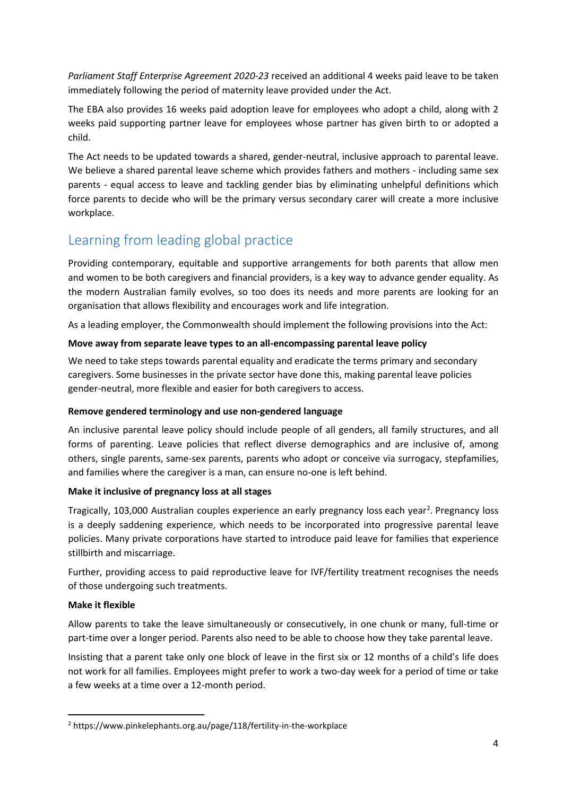*Parliament Staff Enterprise Agreement 2020-23* received an additional 4 weeks paid leave to be taken immediately following the period of maternity leave provided under the Act.

The EBA also provides 16 weeks paid adoption leave for employees who adopt a child, along with 2 weeks paid supporting partner leave for employees whose partner has given birth to or adopted a child.

The Act needs to be updated towards a shared, gender-neutral, inclusive approach to parental leave. We believe a shared parental leave scheme which provides fathers and mothers - including same sex parents - equal access to leave and tackling gender bias by eliminating unhelpful definitions which force parents to decide who will be the primary versus secondary carer will create a more inclusive workplace.

# <span id="page-3-0"></span>Learning from leading global practice

Providing contemporary, equitable and supportive arrangements for both parents that allow men and women to be both caregivers and financial providers, is a key way to advance gender equality. As the modern Australian family evolves, so too does its needs and more parents are looking for an organisation that allows flexibility and encourages work and life integration.

As a leading employer, the Commonwealth should implement the following provisions into the Act:

#### **Move away from separate leave types to an all-encompassing parental leave policy**

We need to take steps towards parental equality and eradicate the terms primary and secondary caregivers. Some businesses in the private sector have done this, making parental leave policies gender-neutral, more flexible and easier for both caregivers to access.

#### **Remove gendered terminology and use non-gendered language**

An inclusive parental leave policy should include people of all genders, all family structures, and all forms of parenting. Leave policies that reflect diverse demographics and are inclusive of, among others, single parents, same-sex parents, parents who adopt or conceive via surrogacy, stepfamilies, and families where the caregiver is a man, can ensure no-one is left behind.

#### **Make it inclusive of pregnancy loss at all stages**

Tragically, 103,000 Australian couples experience an early pregnancy loss each year<sup>[2](#page-3-1)</sup>. Pregnancy loss is a deeply saddening experience, which needs to be incorporated into progressive parental leave policies. Many private corporations have started to introduce paid leave for families that experience stillbirth and miscarriage.

Further, providing access to paid reproductive leave for IVF/fertility treatment recognises the needs of those undergoing such treatments.

#### **Make it flexible**

Allow parents to take the leave simultaneously or consecutively, in one chunk or many, full-time or part-time over a longer period. Parents also need to be able to choose how they take parental leave.

Insisting that a parent take only one block of leave in the first six or 12 months of a child's life does not work for all families. Employees might prefer to work a two-day week for a period of time or take a few weeks at a time over a 12-month period.

<span id="page-3-1"></span> <sup>2</sup> https://www.pinkelephants.org.au/page/118/fertility-in-the-workplace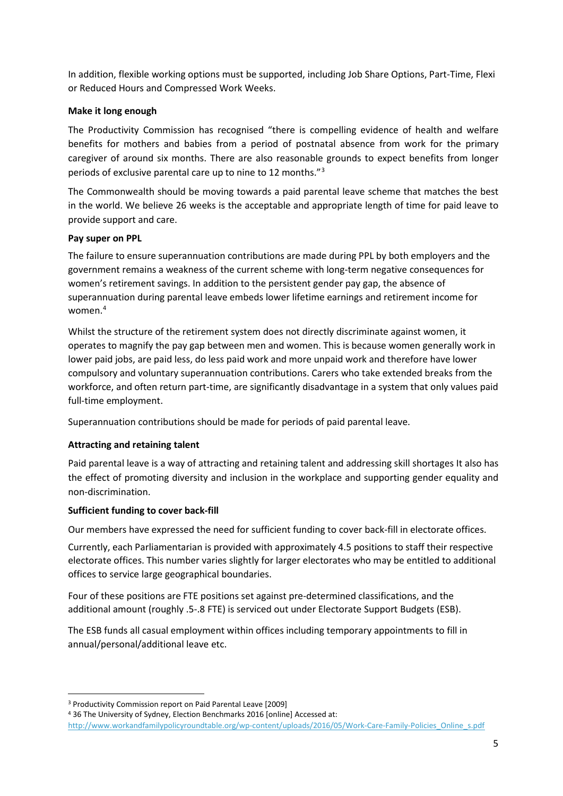In addition, flexible working options must be supported, including Job Share Options, Part-Time, Flexi or Reduced Hours and Compressed Work Weeks.

#### **Make it long enough**

The Productivity Commission has recognised "there is compelling evidence of health and welfare benefits for mothers and babies from a period of postnatal absence from work for the primary caregiver of around six months. There are also reasonable grounds to expect benefits from longer periods of exclusive parental care up to nine to 12 months."[3](#page-4-0)

The Commonwealth should be moving towards a paid parental leave scheme that matches the best in the world. We believe 26 weeks is the acceptable and appropriate length of time for paid leave to provide support and care.

#### **Pay super on PPL**

The failure to ensure superannuation contributions are made during PPL by both employers and the government remains a weakness of the current scheme with long-term negative consequences for women's retirement savings. In addition to the persistent gender pay gap, the absence of superannuation during parental leave embeds lower lifetime earnings and retirement income for women.[4](#page-4-1)

Whilst the structure of the retirement system does not directly discriminate against women, it operates to magnify the pay gap between men and women. This is because women generally work in lower paid jobs, are paid less, do less paid work and more unpaid work and therefore have lower compulsory and voluntary superannuation contributions. Carers who take extended breaks from the workforce, and often return part-time, are significantly disadvantage in a system that only values paid full-time employment.

Superannuation contributions should be made for periods of paid parental leave.

#### **Attracting and retaining talent**

Paid parental leave is a way of attracting and retaining talent and addressing skill shortages It also has the effect of promoting diversity and inclusion in the workplace and supporting gender equality and non-discrimination.

#### **Sufficient funding to cover back-fill**

Our members have expressed the need for sufficient funding to cover back-fill in electorate offices.

Currently, each Parliamentarian is provided with approximately 4.5 positions to staff their respective electorate offices. This number varies slightly for larger electorates who may be entitled to additional offices to service large geographical boundaries.

Four of these positions are FTE positions set against pre-determined classifications, and the additional amount (roughly .5-.8 FTE) is serviced out under Electorate Support Budgets (ESB).

The ESB funds all casual employment within offices including temporary appointments to fill in annual/personal/additional leave etc.

<span id="page-4-1"></span><sup>4</sup> 36 The University of Sydney, Election Benchmarks 2016 [online] Accessed at:

<span id="page-4-0"></span> <sup>3</sup> Productivity Commission report on Paid Parental Leave [2009]

[http://www.workandfamilypolicyroundtable.org/wp-content/uploads/2016/05/Work-Care-Family-Policies\\_Online\\_s.pdf](http://www.workandfamilypolicyroundtable.org/wp-content/uploads/2016/05/Work-Care-Family-Policies_Online_s.pdf)